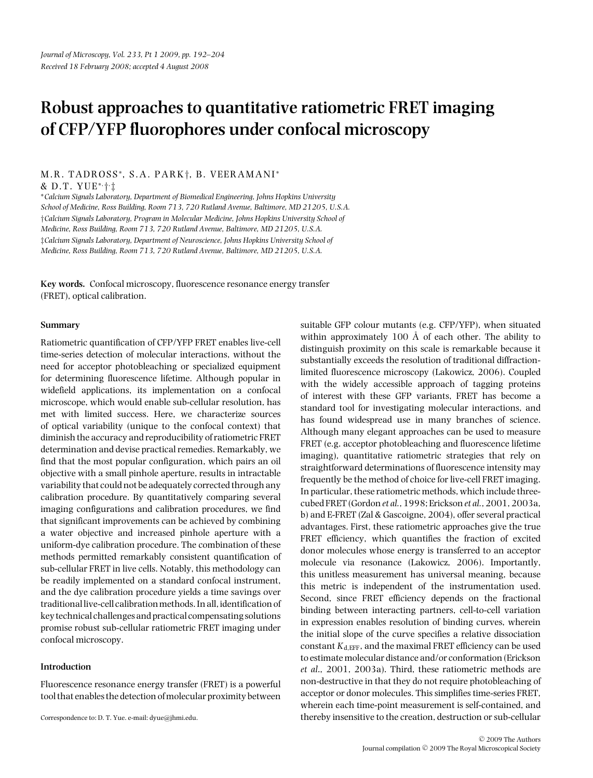# **Robust approaches to quantitative ratiometric FRET imaging of CFP/YFP fluorophores under confocal microscopy**

M.R. TADROSS\*, S.A. PARK†, B. VEERAMANI\*

 $&$  D.T. YUE\*, †,

‡ <sup>∗</sup>*Calcium Signals Laboratory, Department of Biomedical Engineering, Johns Hopkins University School of Medicine, Ross Building, Room 713, 720 Rutland Avenue, Baltimore, MD 21205, U.S.A.* †*Calcium Signals Laboratory, Program in Molecular Medicine, Johns Hopkins University School of Medicine, Ross Building, Room 713, 720 Rutland Avenue, Baltimore, MD 21205, U.S.A.* ‡*Calcium Signals Laboratory, Department of Neuroscience, Johns Hopkins University School of Medicine, Ross Building, Room 713, 720 Rutland Avenue, Baltimore, MD 21205, U.S.A.*

**Key words.** Confocal microscopy, fluorescence resonance energy transfer (FRET), optical calibration.

## **Summary**

Ratiometric quantification of CFP/YFP FRET enables live-cell time-series detection of molecular interactions, without the need for acceptor photobleaching or specialized equipment for determining fluorescence lifetime. Although popular in widefield applications, its implementation on a confocal microscope, which would enable sub-cellular resolution, has met with limited success. Here, we characterize sources of optical variability (unique to the confocal context) that diminish the accuracy and reproducibility of ratiometric FRET determination and devise practical remedies. Remarkably, we find that the most popular configuration, which pairs an oil objective with a small pinhole aperture, results in intractable variability that could not be adequately corrected through any calibration procedure. By quantitatively comparing several imaging configurations and calibration procedures, we find that significant improvements can be achieved by combining a water objective and increased pinhole aperture with a uniform-dye calibration procedure. The combination of these methods permitted remarkably consistent quantification of sub-cellular FRET in live cells. Notably, this methodology can be readily implemented on a standard confocal instrument, and the dye calibration procedure yields a time savings over traditional live-cell calibration methods. In all, identification of key technical challenges and practical compensating solutions promise robust sub-cellular ratiometric FRET imaging under confocal microscopy.

## **Introduction**

Fluorescence resonance energy transfer (FRET) is a powerful tool that enables the detection of molecular proximity between

Correspondence to: D. T. Yue. e-mail: dyue@jhmi.edu.

suitable GFP colour mutants (e.g. CFP/YFP), when situated within approximately 100 Å of each other. The ability to distinguish proximity on this scale is remarkable because it substantially exceeds the resolution of traditional diffractionlimited fluorescence microscopy (Lakowicz, 2006). Coupled with the widely accessible approach of tagging proteins of interest with these GFP variants, FRET has become a standard tool for investigating molecular interactions, and has found widespread use in many branches of science. Although many elegant approaches can be used to measure FRET (e.g. acceptor photobleaching and fluorescence lifetime imaging), quantitative ratiometric strategies that rely on straightforward determinations of fluorescence intensity may frequently be the method of choice for live-cell FRET imaging. In particular, these ratiometric methods, which include threecubed FRET (Gordon *et al.*, 1998; Erickson *et al.*, 2001, 2003a, b) and E-FRET (Zal & Gascoigne, 2004), offer several practical advantages. First, these ratiometric approaches give the true FRET efficiency, which quantifies the fraction of excited donor molecules whose energy is transferred to an acceptor molecule via resonance (Lakowicz, 2006). Importantly, this unitless measurement has universal meaning, because this metric is independent of the instrumentation used. Second, since FRET efficiency depends on the fractional binding between interacting partners, cell-to-cell variation in expression enables resolution of binding curves, wherein the initial slope of the curve specifies a relative dissociation constant  $K_{\text{d,EFF}}$ , and the maximal FRET efficiency can be used to estimate molecular distance and/or conformation (Erickson *et al*., 2001, 2003a). Third, these ratiometric methods are non-destructive in that they do not require photobleaching of acceptor or donor molecules. This simplifies time-series FRET, wherein each time-point measurement is self-contained, and thereby insensitive to the creation, destruction or sub-cellular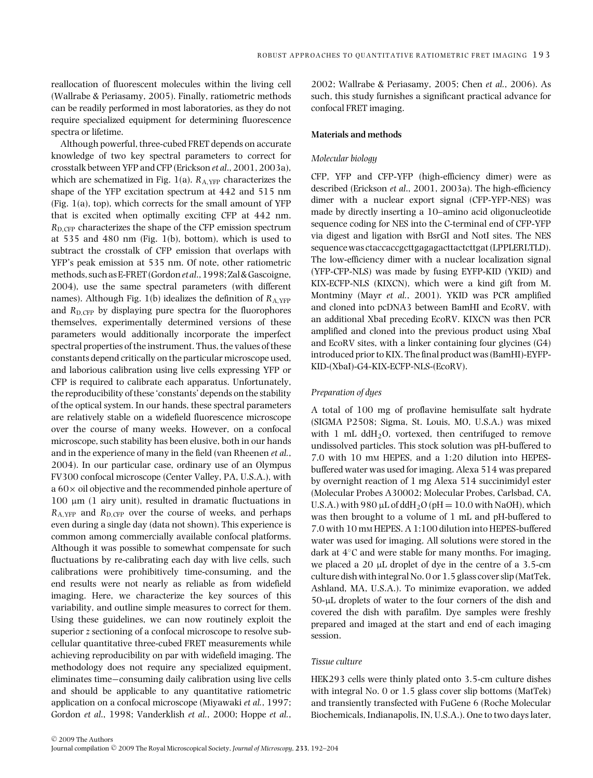reallocation of fluorescent molecules within the living cell (Wallrabe & Periasamy, 2005). Finally, ratiometric methods can be readily performed in most laboratories, as they do not require specialized equipment for determining fluorescence spectra or lifetime.

Although powerful, three-cubed FRET depends on accurate knowledge of two key spectral parameters to correct for crosstalk between YFP and CFP (Erickson *et al*., 2001, 2003a), which are schematized in Fig. 1(a).  $R_{A, YFP}$  characterizes the shape of the YFP excitation spectrum at 442 and 515 nm (Fig. 1(a), top), which corrects for the small amount of YFP that is excited when optimally exciting CFP at 442 nm.  $R_{\text{D,CFP}}$  characterizes the shape of the CFP emission spectrum at 535 and 480 nm (Fig. 1(b), bottom), which is used to subtract the crosstalk of CFP emission that overlaps with YFP's peak emission at 535 nm. Of note, other ratiometric methods, such as E-FRET (Gordon*et al*., 1998; Zal&Gascoigne, 2004), use the same spectral parameters (with different names). Although Fig. 1(b) idealizes the definition of  $R_{A,\text{YFP}}$ and  $R_{\text{D,CFP}}$  by displaying pure spectra for the fluorophores themselves, experimentally determined versions of these parameters would additionally incorporate the imperfect spectral properties of the instrument. Thus, the values of these constants depend critically on the particular microscope used, and laborious calibration using live cells expressing YFP or CFP is required to calibrate each apparatus. Unfortunately, the reproducibility of these 'constants' depends on the stability of the optical system. In our hands, these spectral parameters are relatively stable on a widefield fluorescence microscope over the course of many weeks. However, on a confocal microscope, such stability has been elusive, both in our hands and in the experience of many in the field (van Rheenen *et al.*, 2004). In our particular case, ordinary use of an Olympus FV300 confocal microscope (Center Valley, PA, U.S.A.), with a 60× oil objective and the recommended pinhole aperture of 100 μm (1 airy unit), resulted in dramatic fluctuations in *R*<sub>A, YFP</sub> and *R*<sub>D, CFP</sub> over the course of weeks, and perhaps even during a single day (data not shown). This experience is common among commercially available confocal platforms. Although it was possible to somewhat compensate for such fluctuations by re-calibrating each day with live cells, such calibrations were prohibitively time-consuming, and the end results were not nearly as reliable as from widefield imaging. Here, we characterize the key sources of this variability, and outline simple measures to correct for them. Using these guidelines, we can now routinely exploit the superior *z* sectioning of a confocal microscope to resolve subcellular quantitative three-cubed FRET measurements while achieving reproducibility on par with widefield imaging. The methodology does not require any specialized equipment, eliminates time−consuming daily calibration using live cells and should be applicable to any quantitative ratiometric application on a confocal microscope (Miyawaki *et al.*, 1997; Gordon *et al*., 1998; Vanderklish *et al.*, 2000; Hoppe *et al.*, 2002; Wallrabe & Periasamy, 2005; Chen *et al.*, 2006). As such, this study furnishes a significant practical advance for confocal FRET imaging.

## **Materials and methods**

## *Molecular biology*

CFP, YFP and CFP-YFP (high-efficiency dimer) were as described (Erickson *et al*., 2001, 2003a). The high-efficiency dimer with a nuclear export signal (CFP-YFP-NES) was made by directly inserting a 10–amino acid oligonucleotide sequence coding for NES into the C-terminal end of CFP-YFP via digest and ligation with BsrGI and NotI sites. The NES sequence was ctaccaccgcttgagagacttactcttgat (LPPLERLTLD). The low-efficiency dimer with a nuclear localization signal (YFP-CFP-NLS) was made by fusing EYFP-KID (YKID) and KIX-ECFP-NLS (KIXCN), which were a kind gift from M. Montminy (Mayr *et al.*, 2001). YKID was PCR amplified and cloned into pcDNA3 between BamHI and EcoRV, with an additional XbaI preceding EcoRV. KIXCN was then PCR amplified and cloned into the previous product using XbaI and EcoRV sites, with a linker containing four glycines (G4) introduced prior to KIX. The final product was (BamHI)-EYFP-KID-(XbaI)-G4-KIX-ECFP-NLS-(EcoRV).

## *Preparation of dyes*

A total of 100 mg of proflavine hemisulfate salt hydrate (SIGMA P2508; Sigma, St. Louis, MO, U.S.A.) was mixed with 1 mL ddH<sub>2</sub>O, vortexed, then centrifuged to remove undissolved particles. This stock solution was pH-buffered to 7.0 with 10 mM HEPES, and a 1:20 dilution into HEPESbuffered water was used for imaging. Alexa 514 was prepared by overnight reaction of 1 mg Alexa 514 succinimidyl ester (Molecular Probes A30002; Molecular Probes, Carlsbad, CA, U.S.A.) with 980  $\mu$ L of ddH<sub>2</sub>O (pH = 10.0 with NaOH), which was then brought to a volume of 1 mL and pH-buffered to 7.0 with 10 mM HEPES. A 1:100 dilution into HEPES-buffered water was used for imaging. All solutions were stored in the dark at 4◦C and were stable for many months. For imaging, we placed a 20 μL droplet of dye in the centre of a 3.5-cm culture dish with integral No. 0 or 1.5 glass cover slip (MatTek, Ashland, MA, U.S.A.). To minimize evaporation, we added 50-μL droplets of water to the four corners of the dish and covered the dish with parafilm. Dye samples were freshly prepared and imaged at the start and end of each imaging session.

## *Tissue culture*

HEK293 cells were thinly plated onto 3.5-cm culture dishes with integral No. 0 or 1.5 glass cover slip bottoms (MatTek) and transiently transfected with FuGene 6 (Roche Molecular Biochemicals, Indianapolis, IN, U.S.A.). One to two days later,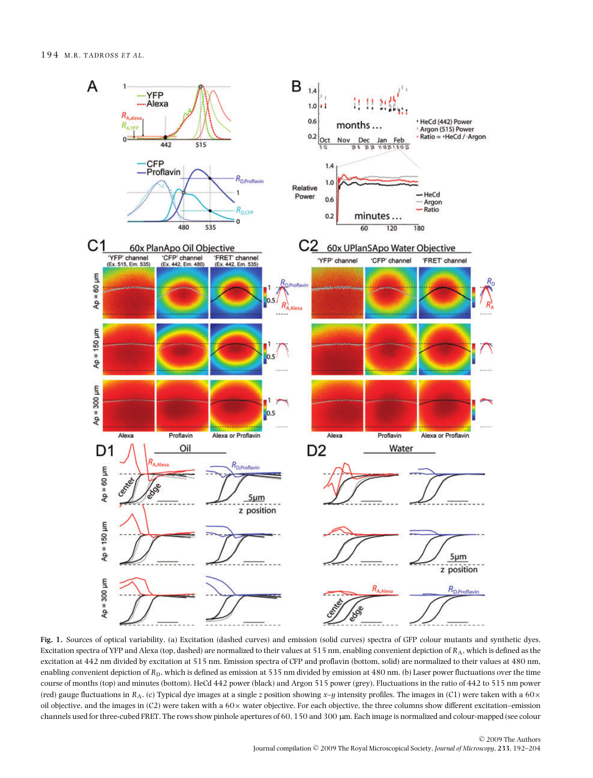

**Fig. 1.** Sources of optical variability. (a) Excitation (dashed curves) and emission (solid curves) spectra of GFP colour mutants and synthetic dyes. Excitation spectra of YFP and Alexa (top, dashed) are normalized to their values at 515 nm, enabling convenient depiction of  $R_A$ , which is defined as the excitation at 442 nm divided by excitation at 515 nm. Emission spectra of CFP and proflavin (bottom, solid) are normalized to their values at 480 nm, enabling convenient depiction of  $R_D$ , which is defined as emission at 535 nm divided by emission at 480 nm. (b) Laser power fluctuations over the time course of months (top) and minutes (bottom). HeCd 442 power (black) and Argon 515 power (grey). Fluctuations in the ratio of 442 to 515 nm power (red) gauge fluctuations in  $R_A$ . (c) Typical dye images at a single *z* position showing *x*–*y* intensity profiles. The images in (C1) were taken with a 60× oil objective, and the images in  $(C2)$  were taken with a  $60 \times$  water objective. For each objective, the three columns show different excitation–emission channels used for three-cubed FRET. The rows show pinhole apertures of 60, 150 and 300 μm. Each image is normalized and colour-mapped (see colour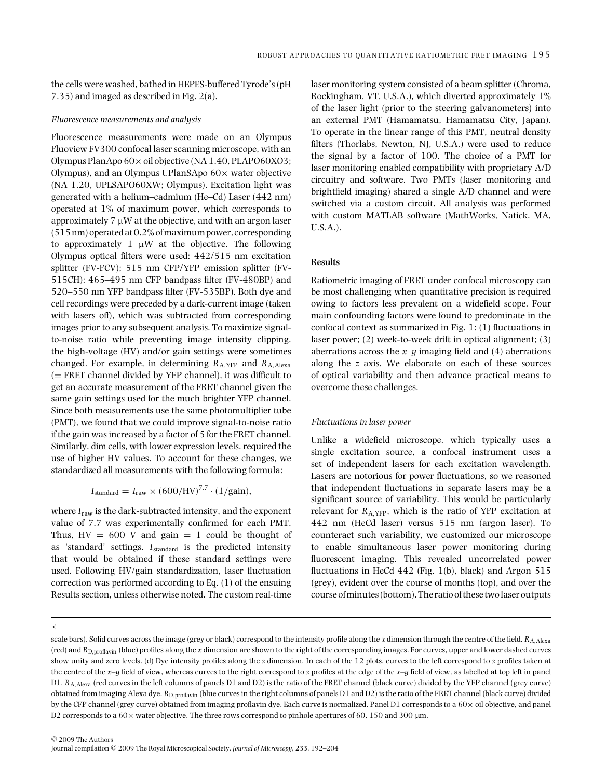the cells were washed, bathed in HEPES-buffered Tyrode's (pH 7.35) and imaged as described in Fig. 2(a).

# *Fluorescence measurements and analysis*

Fluorescence measurements were made on an Olympus Fluoview FV300 confocal laser scanning microscope, with an Olympus PlanApo  $60 \times$  oil objective (NA 1.40, PLAPO60XO3; Olympus), and an Olympus UPlanSApo  $60 \times$  water objective (NA 1.20, UPLSAPO60XW; Olympus). Excitation light was generated with a helium–cadmium (He–Cd) Laser (442 nm) operated at 1% of maximum power, which corresponds to approximately 7 μW at the objective, and with an argon laser (515 nm) operated at 0.2% ofmaximum power, corresponding to approximately 1  $\mu$ W at the objective. The following Olympus optical filters were used: 442/515 nm excitation splitter (FV-FCV); 515 nm CFP/YFP emission splitter (FV-515CH); 465–495 nm CFP bandpass filter (FV-480BP) and 520–550 nm YFP bandpass filter (FV-535BP). Both dye and cell recordings were preceded by a dark-current image (taken with lasers off), which was subtracted from corresponding images prior to any subsequent analysis. To maximize signalto-noise ratio while preventing image intensity clipping, the high-voltage (HV) and/or gain settings were sometimes changed. For example, in determining  $R_{A, YFP}$  and  $R_{A, Alexa}$ (= FRET channel divided by YFP channel), it was difficult to get an accurate measurement of the FRET channel given the same gain settings used for the much brighter YFP channel. Since both measurements use the same photomultiplier tube (PMT), we found that we could improve signal-to-noise ratio if the gain was increased by a factor of 5 for the FRET channel. Similarly, dim cells, with lower expression levels, required the use of higher HV values. To account for these changes, we standardized all measurements with the following formula:

 $I_{\text{standard}} = I_{\text{raw}} \times (600/\text{HV})^{7.7} \cdot (1/\text{gain})$ ,

where  $I_{\text{raw}}$  is the dark-subtracted intensity, and the exponent value of 7.7 was experimentally confirmed for each PMT. Thus,  $HV = 600$  V and gain  $= 1$  could be thought of as 'standard' settings. *I*standard is the predicted intensity that would be obtained if these standard settings were used. Following HV/gain standardization, laser fluctuation correction was performed according to Eq. (1) of the ensuing Results section, unless otherwise noted. The custom real-time

laser monitoring system consisted of a beam splitter (Chroma, Rockingham, VT, U.S.A.), which diverted approximately 1% of the laser light (prior to the steering galvanometers) into an external PMT (Hamamatsu, Hamamatsu City, Japan). To operate in the linear range of this PMT, neutral density filters (Thorlabs, Newton, NJ, U.S.A.) were used to reduce the signal by a factor of 100. The choice of a PMT for laser monitoring enabled compatibility with proprietary A/D circuitry and software. Two PMTs (laser monitoring and brightfield imaging) shared a single A/D channel and were switched via a custom circuit. All analysis was performed with custom MATLAB software (MathWorks, Natick, MA, U.S.A.).

## **Results**

Ratiometric imaging of FRET under confocal microscopy can be most challenging when quantitative precision is required owing to factors less prevalent on a widefield scope. Four main confounding factors were found to predominate in the confocal context as summarized in Fig. 1: (1) fluctuations in laser power; (2) week-to-week drift in optical alignment; (3) aberrations across the *x*–*y* imaging field and (4) aberrations along the *z* axis. We elaborate on each of these sources of optical variability and then advance practical means to overcome these challenges.

## *Fluctuations in laser power*

Unlike a widefield microscope, which typically uses a single excitation source, a confocal instrument uses a set of independent lasers for each excitation wavelength. Lasers are notorious for power fluctuations, so we reasoned that independent fluctuations in separate lasers may be a significant source of variability. This would be particularly relevant for  $R_{A, YFP}$ , which is the ratio of YFP excitation at 442 nm (HeCd laser) versus 515 nm (argon laser). To counteract such variability, we customized our microscope to enable simultaneous laser power monitoring during fluorescent imaging. This revealed uncorrelated power fluctuations in HeCd 442 (Fig. 1(b), black) and Argon 515 (grey), evident over the course of months (top), and over the course ofminutes (bottom). The ratio of these twolaser outputs

←

scale bars). Solid curves across the image (grey or black) correspond to the intensity profile along the *x* dimension through the centre of the field. *R*<sub>A,Alexa</sub> (red) and  $R_{\text{D,} \text{noflavin}}$  (blue) profiles along the *x* dimension are shown to the right of the corresponding images. For curves, upper and lower dashed curves show unity and zero levels. (d) Dye intensity profiles along the *z* dimension. In each of the 12 plots, curves to the left correspond to *z* profiles taken at the centre of the  $x-y$  field of view, whereas curves to the right correspond to *z* profiles at the edge of the  $x-y$  field of view, as labelled at top left in panel D1.  $R_{A,\text{Alexa}}$  (red curves in the left columns of panels D1 and D2) is the ratio of the FRET channel (black curve) divided by the YFP channel (grey curve) obtained from imaging Alexa dye. *R*<sub>D,proflavin</sub> (blue curves in the right columns of panels D1 and D2) is the ratio of the FRET channel (black curve) divided by the CFP channel (grey curve) obtained from imaging proflavin dye. Each curve is normalized. Panel D1 corresponds to a 60x oil objective, and panel D2 corresponds to a  $60 \times$  water objective. The three rows correspond to pinhole apertures of 60, 150 and 300  $\mu$ m.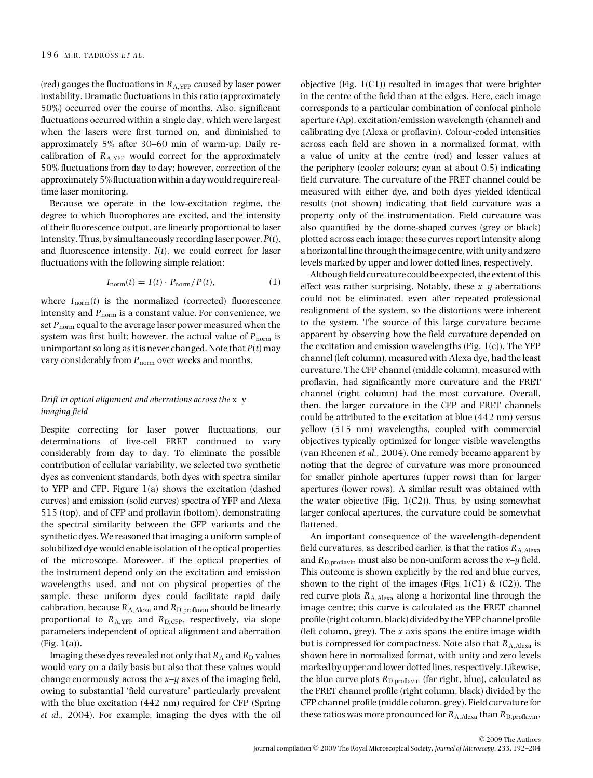(red) gauges the fluctuations in  $R_{A, YFP}$  caused by laser power instability. Dramatic fluctuations in this ratio (approximately 50%) occurred over the course of months. Also, significant fluctuations occurred within a single day, which were largest when the lasers were first turned on, and diminished to approximately 5% after 30–60 min of warm-up. Daily recalibration of  $R_{A, YFP}$  would correct for the approximately 50% fluctuations from day to day; however, correction of the approximately 5%fluctuation within a day would require realtime laser monitoring.

Because we operate in the low-excitation regime, the degree to which fluorophores are excited, and the intensity of their fluorescence output, are linearly proportional to laser intensity. Thus, by simultaneously recording laser power,*P*(*t*), and fluorescence intensity, *I*(*t*), we could correct for laser fluctuations with the following simple relation:

$$
I_{\text{norm}}(t) = I(t) \cdot P_{\text{norm}} / P(t), \tag{1}
$$

where  $I_{\text{norm}}(t)$  is the normalized (corrected) fluorescence intensity and  $P_{\text{norm}}$  is a constant value. For convenience, we set  $P_{\text{norm}}$  equal to the average laser power measured when the system was first built; however, the actual value of  $P_{\text{norm}}$  is unimportant so long as it is never changed. Note that *P*(*t*) may vary considerably from *P*<sub>norm</sub> over weeks and months.

# *Drift in optical alignment and aberrations across the* x–y *imaging field*

Despite correcting for laser power fluctuations, our determinations of live-cell FRET continued to vary considerably from day to day. To eliminate the possible contribution of cellular variability, we selected two synthetic dyes as convenient standards, both dyes with spectra similar to YFP and CFP. Figure 1(a) shows the excitation (dashed curves) and emission (solid curves) spectra of YFP and Alexa 515 (top), and of CFP and proflavin (bottom), demonstrating the spectral similarity between the GFP variants and the synthetic dyes.We reasoned that imaging a uniform sample of solubilized dye would enable isolation of the optical properties of the microscope. Moreover, if the optical properties of the instrument depend only on the excitation and emission wavelengths used, and not on physical properties of the sample, these uniform dyes could facilitate rapid daily calibration, because  $R_{A,Alexa}$  and  $R_{D,proflavin}$  should be linearly proportional to  $R_{A, YFP}$  and  $R_{D, CFP}$ , respectively, via slope parameters independent of optical alignment and aberration (Fig. 1(a)).

Imaging these dyes revealed not only that  $R_A$  and  $R_D$  values would vary on a daily basis but also that these values would change enormously across the *x*–*y* axes of the imaging field, owing to substantial 'field curvature' particularly prevalent with the blue excitation (442 nm) required for CFP (Spring *et al.*, 2004). For example, imaging the dyes with the oil objective (Fig.  $1(C1)$ ) resulted in images that were brighter in the centre of the field than at the edges. Here, each image corresponds to a particular combination of confocal pinhole aperture (Ap), excitation/emission wavelength (channel) and calibrating dye (Alexa or proflavin). Colour-coded intensities across each field are shown in a normalized format, with a value of unity at the centre (red) and lesser values at the periphery (cooler colours; cyan at about 0.5) indicating field curvature. The curvature of the FRET channel could be measured with either dye, and both dyes yielded identical results (not shown) indicating that field curvature was a property only of the instrumentation. Field curvature was also quantified by the dome-shaped curves (grey or black) plotted across each image; these curves report intensity along a horizontal line through the image centre, with unity and zero levels marked by upper and lower dotted lines, respectively.

Although field curvature could be expected, the extent of this effect was rather surprising. Notably, these *x*–*y* aberrations could not be eliminated, even after repeated professional realignment of the system, so the distortions were inherent to the system. The source of this large curvature became apparent by observing how the field curvature depended on the excitation and emission wavelengths (Fig.  $1(c)$ ). The YFP channel (left column), measured with Alexa dye, had the least curvature. The CFP channel (middle column), measured with proflavin, had significantly more curvature and the FRET channel (right column) had the most curvature. Overall, then, the larger curvature in the CFP and FRET channels could be attributed to the excitation at blue (442 nm) versus yellow (515 nm) wavelengths, coupled with commercial objectives typically optimized for longer visible wavelengths (van Rheenen *et al*., 2004). One remedy became apparent by noting that the degree of curvature was more pronounced for smaller pinhole apertures (upper rows) than for larger apertures (lower rows). A similar result was obtained with the water objective (Fig.  $1(C2)$ ). Thus, by using somewhat larger confocal apertures, the curvature could be somewhat flattened.

An important consequence of the wavelength-dependent field curvatures, as described earlier, is that the ratios  $R_{A, Alexa}$ and  $R_{\text{D,proflavin}}$  must also be non-uniform across the *x*-*y* field. This outcome is shown explicitly by the red and blue curves, shown to the right of the images (Figs  $1(C1)$  &  $(C2)$ ). The red curve plots *R*<sup>A</sup>,Alexa along a horizontal line through the image centre; this curve is calculated as the FRET channel profile (right column, black) divided by the YFP channel profile (left column, grey). The *x* axis spans the entire image width but is compressed for compactness. Note also that *R*<sub>A,Alexa</sub> is shown here in normalized format, with unity and zero levels marked by upper andlower dottedlines, respectively. Likewise, the blue curve plots  $R_{\text{D,proflavin}}$  (far right, blue), calculated as the FRET channel profile (right column, black) divided by the CFP channel profile (middle column, grey). Field curvature for these ratios was more pronounced for  $R_{A,Alex}$  than  $R_{D,proflavin}$ ,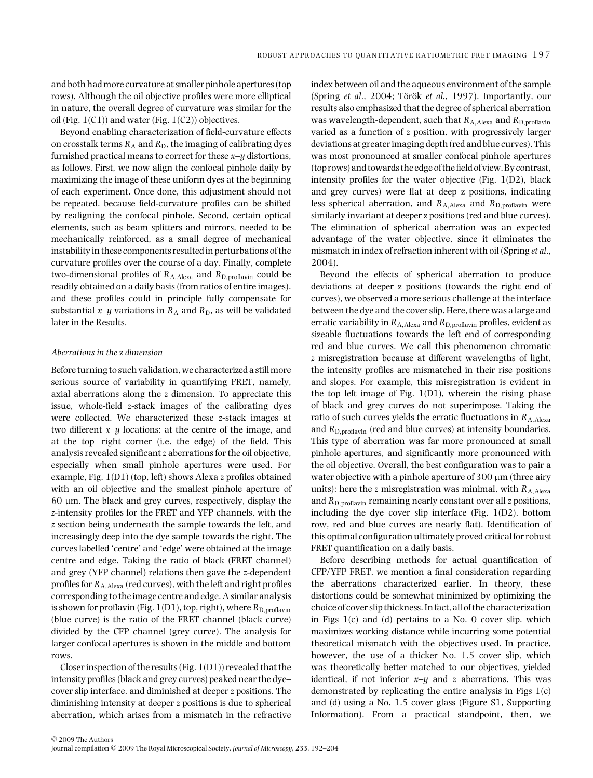and both had more curvature at smaller pinhole apertures (top rows). Although the oil objective profiles were more elliptical in nature, the overall degree of curvature was similar for the oil (Fig.  $1(C1)$ ) and water (Fig.  $1(C2)$ ) objectives.

Beyond enabling characterization of field-curvature effects on crosstalk terms  $R_A$  and  $R_D$ , the imaging of calibrating dyes furnished practical means to correct for these *x*–*y* distortions, as follows. First, we now align the confocal pinhole daily by maximizing the image of these uniform dyes at the beginning of each experiment. Once done, this adjustment should not be repeated, because field-curvature profiles can be shifted by realigning the confocal pinhole. Second, certain optical elements, such as beam splitters and mirrors, needed to be mechanically reinforced, as a small degree of mechanical instability in these components resulted in perturbations of the curvature profiles over the course of a day. Finally, complete two-dimensional profiles of  $R_{A,Alex}$  and  $R_{D,proflavin}$  could be readily obtained on a daily basis (from ratios of entire images), and these profiles could in principle fully compensate for substantial  $x$ –*y* variations in  $R_A$  and  $R_D$ , as will be validated later in the Results.

## *Aberrations in the* z *dimension*

Before turning to such validation, we characterized a still more serious source of variability in quantifying FRET, namely, axial aberrations along the *z* dimension. To appreciate this issue, whole-field *z*-stack images of the calibrating dyes were collected. We characterized these *z*-stack images at two different *x*–*y* locations: at the centre of the image, and at the top−right corner (i.e. the edge) of the field. This analysis revealed significant*z* aberrations for the oil objective, especially when small pinhole apertures were used. For example, Fig. 1(D1) (top, left) shows Alexa *z* profiles obtained with an oil objective and the smallest pinhole aperture of 60 μm. The black and grey curves, respectively, display the *z*-intensity profiles for the FRET and YFP channels, with the *z* section being underneath the sample towards the left, and increasingly deep into the dye sample towards the right. The curves labelled 'centre' and 'edge' were obtained at the image centre and edge. Taking the ratio of black (FRET channel) and grey (YFP channel) relations then gave the *z*-dependent profiles for  $R_{A,Alex}$  (red curves), with the left and right profiles corresponding to the image centre and edge. A similar analysis is shown for proflavin (Fig.  $1(D1)$ , top, right), where  $R_{D,prodavin}$ (blue curve) is the ratio of the FRET channel (black curve) divided by the CFP channel (grey curve). The analysis for larger confocal apertures is shown in the middle and bottom rows.

Closer inspection of the results (Fig. 1(D1)) revealed that the intensity profiles (black and grey curves) peaked near the dye– cover slip interface, and diminished at deeper *z* positions. The diminishing intensity at deeper *z* positions is due to spherical aberration, which arises from a mismatch in the refractive index between oil and the aqueous environment of the sample (Spring *et al.*, 2004; Török *et al.*, 1997). Importantly, our results also emphasized that the degree of spherical aberration was wavelength-dependent, such that  $R_{A \text{ Alexa}}$  and  $R_{D \text{ proflavin}}$ varied as a function of *z* position, with progressively larger deviations at greater imaging depth (red and blue curves). This was most pronounced at smaller confocal pinhole apertures (top rows) and towards the edge of thefield of view. By contrast, intensity profiles for the water objective (Fig. 1(D2), black and grey curves) were flat at deep z positions, indicating less spherical aberration, and *R*<sub>A,Alexa</sub> and *R*<sub>D,proflavin</sub> were similarly invariant at deeper z positions (red and blue curves). The elimination of spherical aberration was an expected advantage of the water objective, since it eliminates the mismatch in index of refraction inherent with oil (Spring *et al*., 2004).

Beyond the effects of spherical aberration to produce deviations at deeper z positions (towards the right end of curves), we observed a more serious challenge at the interface between the dye and the cover slip. Here, there was a large and erratic variability in  $R_{A,\text{Alexa}}$  and  $R_{D,\text{profa}vin}$  profiles, evident as sizeable fluctuations towards the left end of corresponding red and blue curves. We call this phenomenon chromatic *z* misregistration because at different wavelengths of light, the intensity profiles are mismatched in their rise positions and slopes. For example, this misregistration is evident in the top left image of Fig. 1(D1), wherein the rising phase of black and grey curves do not superimpose. Taking the ratio of such curves yields the erratic fluctuations in  $R_{A,Alexa}$ and  $R_{\text{D, proflavin}}$  (red and blue curves) at intensity boundaries. This type of aberration was far more pronounced at small pinhole apertures, and significantly more pronounced with the oil objective. Overall, the best configuration was to pair a water objective with a pinhole aperture of 300 μm (three airy units): here the *z* misregistration was minimal, with  $R_{A,Alexa}$ and *R*<sub>D,proflavin</sub> remaining nearly constant over all *z* positions, including the dye–cover slip interface (Fig. 1(D2), bottom row, red and blue curves are nearly flat). Identification of this optimal configuration ultimately proved critical for robust FRET quantification on a daily basis.

Before describing methods for actual quantification of CFP/YFP FRET, we mention a final consideration regarding the aberrations characterized earlier. In theory, these distortions could be somewhat minimized by optimizing the choice of cover slip thickness. In fact, all of the characterization in Figs 1(c) and (d) pertains to a No. 0 cover slip, which maximizes working distance while incurring some potential theoretical mismatch with the objectives used. In practice, however, the use of a thicker No. 1.5 cover slip, which was theoretically better matched to our objectives, yielded identical, if not inferior *x*–*y* and *z* aberrations. This was demonstrated by replicating the entire analysis in Figs 1(c) and (d) using a No. 1.5 cover glass (Figure S1, Supporting Information). From a practical standpoint, then, we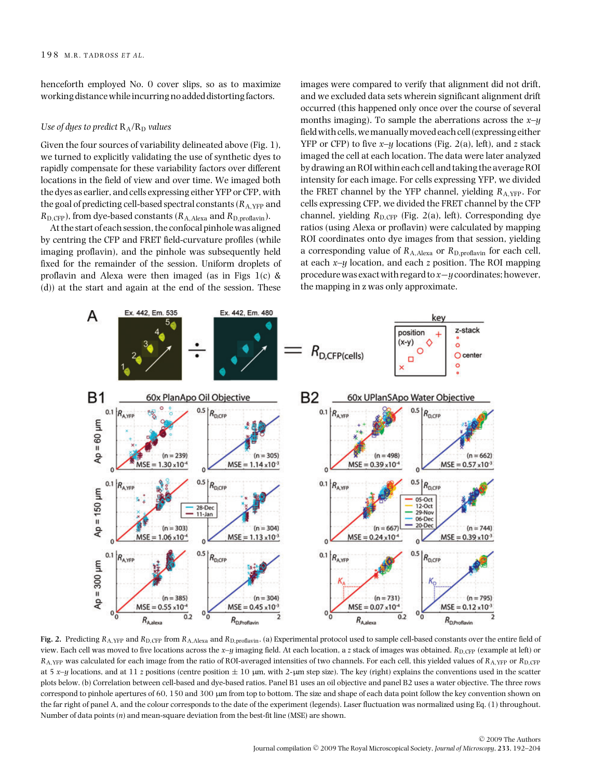henceforth employed No. 0 cover slips, so as to maximize working distancewhileincurring no added distortingfactors.

#### *Use of dues to predict*  $R_A/R_D$  *values*

Given the four sources of variability delineated above (Fig. 1), we turned to explicitly validating the use of synthetic dyes to rapidly compensate for these variability factors over different locations in the field of view and over time. We imaged both the dyes as earlier, and cells expressing either YFP or CFP, with the goal of predicting cell-based spectral constants  $(R_{A, YFP}$  and  $R_{\text{D,CFP}}$ ), from dye-based constants ( $R_{\text{A,Alexa}}$  and  $R_{\text{D,proflavin}}$ ).

At the start of each session, the confocal pinhole was aligned by centring the CFP and FRET field-curvature profiles (while imaging proflavin), and the pinhole was subsequently held fixed for the remainder of the session. Uniform droplets of proflavin and Alexa were then imaged (as in Figs 1(c) & (d)) at the start and again at the end of the session. These images were compared to verify that alignment did not drift, and we excluded data sets wherein significant alignment drift occurred (this happened only once over the course of several months imaging). To sample the aberrations across the  $x-y$ fieldwith cells,wemanuallymoved each cell (expressing either YFP or CFP) to five *x*–*y* locations (Fig. 2(a), left), and *z* stack imaged the cell at each location. The data were later analyzed by drawing an ROI within each cell and taking the average ROI intensity for each image. For cells expressing YFP, we divided the FRET channel by the YFP channel, yielding *R<sub>A,YFP</sub>*. For cells expressing CFP, we divided the FRET channel by the CFP channel, yielding  $R_{D,CFP}$  (Fig. 2(a), left). Corresponding dye ratios (using Alexa or proflavin) were calculated by mapping ROI coordinates onto dye images from that session, yielding a corresponding value of  $R_{A,Alex}$  or  $R_{D,proflavin}$  for each cell, at each *x*–*y* location, and each *z* position. The ROI mapping procedurewas exactwith regard to*x*−*y*coordinates; however, the mapping in z was only approximate.



**Fig. 2.** Predicting  $R_{A, YFP}$  and  $R_{D, CFP}$  from  $R_{A, Alexa}$  and  $R_{D, prodawi}$ . (a) Experimental protocol used to sample cell-based constants over the entire field of view. Each cell was moved to five locations across the *x*–*y* imaging field. At each location, a *z* stack of images was obtained. *R*<sub>D,CFP</sub> (example at left) or *R*<sub>A, YFP</sub> was calculated for each image from the ratio of *ROI*-averaged intensities of two channels. For each cell, this yielded values of *R*<sub>A,YFP</sub> or *R*<sub>D,CFP</sub> at 5  $x$ –*y* locations, and at 11 *z* positions (centre position  $\pm$  10  $\mu$ m, with 2- $\mu$ m step size). The key (right) explains the conventions used in the scatter plots below. (b) Correlation between cell-based and dye-based ratios. Panel B1 uses an oil objective and panel B2 uses a water objective. The three rows correspond to pinhole apertures of 60, 150 and 300 μm from top to bottom. The size and shape of each data point follow the key convention shown on the far right of panel A, and the colour corresponds to the date of the experiment (legends). Laser fluctuation was normalized using Eq. (1) throughout. Number of data points (*n*) and mean-square deviation from the best-fit line (MSE) are shown.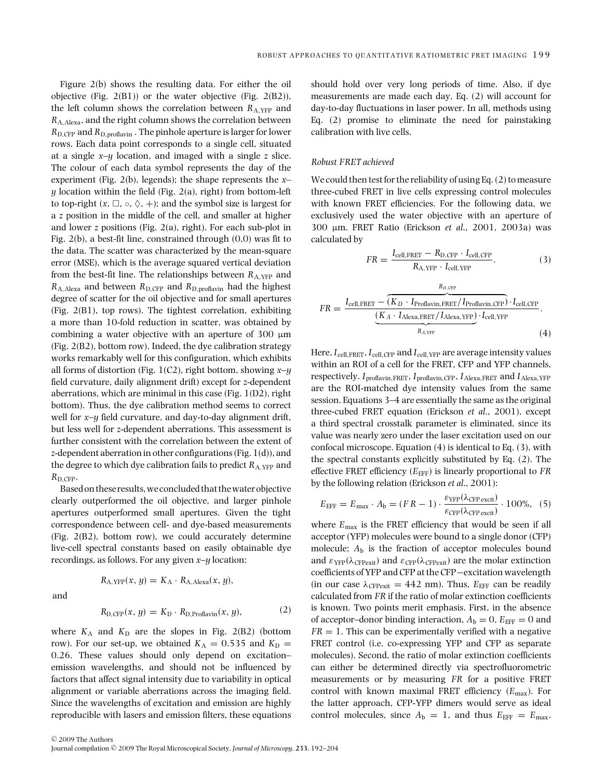Figure 2(b) shows the resulting data. For either the oil objective (Fig.  $2(B1)$ ) or the water objective (Fig.  $2(B2)$ ), the left column shows the correlation between  $R_{A, YFP}$  and  $R_{A,Abexa}$ , and the right column shows the correlation between *R*<sup>D</sup>,CFP and *R*<sup>D</sup>,proflavin . The pinhole aperture is larger for lower rows. Each data point corresponds to a single cell, situated at a single *x*–*y* location, and imaged with a single *z* slice. The colour of each data symbol represents the day of the experiment (Fig. 2(b), legends); the shape represents the *x*– *y* location within the field (Fig. 2(a), right) from bottom-left to top-right  $(x, \Box, \circ, \Diamond, +)$ ; and the symbol size is largest for a *z* position in the middle of the cell, and smaller at higher and lower *z* positions (Fig. 2(a), right). For each sub-plot in Fig. 2(b), a best-fit line, constrained through (0,0) was fit to the data. The scatter was characterized by the mean-square error (MSE), which is the average squared vertical deviation from the best-fit line. The relationships between  $R_{A, YFP}$  and *R*<sub>A,Alexa</sub> and between *R*<sub>D,CFP</sub> and *R*<sub>D,proflavin</sub> had the highest degree of scatter for the oil objective and for small apertures (Fig. 2(B1), top rows). The tightest correlation, exhibiting a more than 10-fold reduction in scatter, was obtained by combining a water objective with an aperture of  $300 \mu m$ (Fig. 2(B2), bottom row). Indeed, the dye calibration strategy works remarkably well for this configuration, which exhibits all forms of distortion (Fig. 1(C2), right bottom, showing *x*–*y* field curvature, daily alignment drift) except for *z*-dependent aberrations, which are minimal in this case (Fig. 1(D2), right bottom). Thus, the dye calibration method seems to correct well for *x*–*y* field curvature, and day-to-day alignment drift, but less well for *z*-dependent aberrations. This assessment is further consistent with the correlation between the extent of *z*-dependent aberration in other configurations (Fig. 1(d)), and the degree to which dye calibration fails to predict  $R_{A, YFP}$  and *R*<sup>D</sup>,CFP.

Based on these results,we concluded that thewater objective clearly outperformed the oil objective, and larger pinhole apertures outperformed small apertures. Given the tight correspondence between cell- and dye-based measurements (Fig. 2(B2), bottom row), we could accurately determine live-cell spectral constants based on easily obtainable dye recordings, as follows. For any given *x*–*y* location:

and

$$
R_{A,\text{YFP}}(x, y) = K_A \cdot R_{A,\text{Alexa}}(x, y),
$$

$$
R_{\text{D,CFP}}(x, y) = K_{\text{D}} \cdot R_{\text{D,Proflavin}}(x, y), \tag{2}
$$

where  $K_A$  and  $K_D$  are the slopes in Fig. 2(B2) (bottom row). For our set-up, we obtained  $K_A = 0.535$  and  $K_D =$ 0.26. These values should only depend on excitation– emission wavelengths, and should not be influenced by factors that affect signal intensity due to variability in optical alignment or variable aberrations across the imaging field. Since the wavelengths of excitation and emission are highly reproducible with lasers and emission filters, these equations

should hold over very long periods of time. Also, if dye measurements are made each day, Eq. (2) will account for day-to-day fluctuations in laser power. In all, methods using Eq. (2) promise to eliminate the need for painstaking calibration with live cells.

## *Robust FRET achieved*

We could then test for the reliability of using Eq. (2) to measure three-cubed FRET in live cells expressing control molecules with known FRET efficiencies. For the following data, we exclusively used the water objective with an aperture of 300 μm. FRET Ratio (Erickson *et al*., 2001, 2003a) was calculated by

$$
FR = \frac{I_{\text{cell,FRET}} - R_{\text{D,CFP}} \cdot I_{\text{cell,CFP}}}{R_{\text{A, YFP}} \cdot I_{\text{cell, YFP}}}.
$$
 (3)

$$
FR = \frac{I_{cell, FRET} - (K_D \cdot I_{Proflavin, FRET}/I_{Proflavin, CFP}) \cdot I_{cell, CFP}}{(K_A \cdot I_{Alexa, FRET}/I_{Alexa, YFP}) \cdot I_{cell, YFP}}.
$$
\n(4)

Here, *I*<sub>cell,FRET</sub>, *I*<sub>cell,CFP</sub> and *I*<sub>cell,YFP</sub> are average intensity values within an ROI of a cell for the FRET, CFP and YFP channels, respectively. *I*proflavin,FRET, *I*proflavin,CFP, *I*Alexa,FRET and *I*Alexa,YFP are the ROI-matched dye intensity values from the same session. Equations 3–4 are essentially the same as the original three-cubed FRET equation (Erickson *et al*., 2001), except a third spectral crosstalk parameter is eliminated, since its value was nearly zero under the laser excitation used on our confocal microscope. Equation (4) is identical to Eq. (3), with the spectral constants explicitly substituted by Eq. (2). The effective FRET efficiency (*E*<sub>EFF</sub>) is linearly proportional to *FR* by the following relation (Erickson *et al*., 2001):

$$
E_{\text{EFF}} = E_{\text{max}} \cdot A_b = (FR - 1) \cdot \frac{\varepsilon_{\text{YFP}}(\lambda_{\text{CFP excit}})}{\varepsilon_{\text{CFP}}(\lambda_{\text{CFP excit}})} \cdot 100\%, (5)
$$

where  $E_{\text{max}}$  is the FRET efficiency that would be seen if all acceptor (YFP) molecules were bound to a single donor (CFP) molecule;  $A<sub>b</sub>$  is the fraction of acceptor molecules bound and  $\varepsilon_{\text{YFP}}(\lambda_{\text{CFPexit}})$  and  $\varepsilon_{\text{CFP}}(\lambda_{\text{CFPexit}})$  are the molar extinction coefficients of YFP and CFP at the CFP−excitation wavelength (in our case  $\lambda_{\text{CFPexit}} = 442 \text{ nm}$ ). Thus,  $E_{\text{EFF}}$  can be readily calculated from *FR* if the ratio of molar extinction coefficients is known. Two points merit emphasis. First, in the absence of acceptor–donor binding interaction,  $A_b = 0$ ,  $E_{\text{EFF}} = 0$  and  $FR = 1$ . This can be experimentally verified with a negative FRET control (i.e. co-expressing YFP and CFP as separate molecules). Second, the ratio of molar extinction coefficients can either be determined directly via spectrofluorometric measurements or by measuring *FR* for a positive FRET control with known maximal FRET efficiency (*E*max). For the latter approach, CFP-YFP dimers would serve as ideal control molecules, since  $A_b = 1$ , and thus  $E_{\text{EFF}} = E_{\text{max}}$ .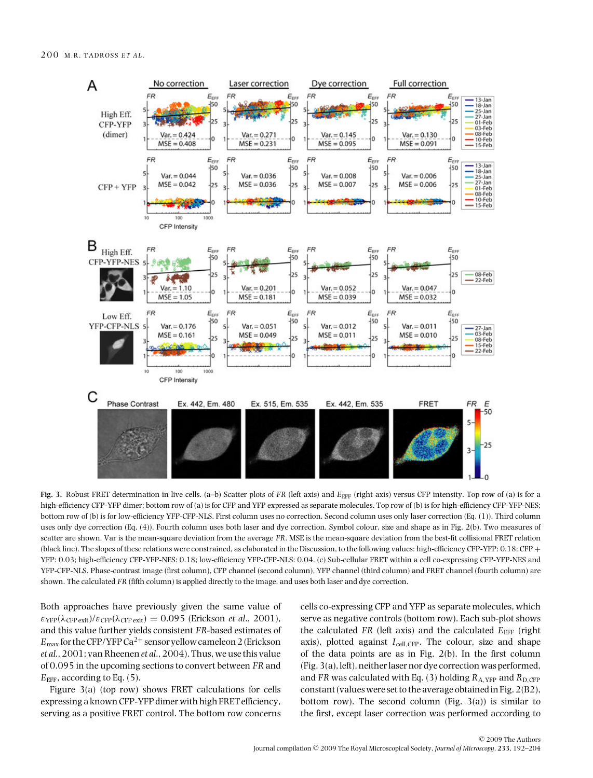

Fig. 3. Robust FRET determination in live cells. (a–b) Scatter plots of *FR* (left axis) and *E*<sub>EFF</sub> (right axis) versus CFP intensity. Top row of (a) is for a high-efficiency CFP-YFP dimer; bottom row of (a) is for CFP and YFP expressed as separate molecules. Top row of (b) is for high-efficiency CFP-YFP-NES; bottom row of (b) is for low-efficiency YFP-CFP-NLS. First column uses no correction. Second column uses only laser correction (Eq. (1)). Third column uses only dye correction (Eq. (4)). Fourth column uses both laser and dye correction. Symbol colour, size and shape as in Fig. 2(b). Two measures of scatter are shown. Var is the mean-square deviation from the average *FR*. MSE is the mean-square deviation from the best-fit collisional FRET relation (black line). The slopes of these relations were constrained, as elaborated in the Discussion, to the following values: high-efficiency CFP-YFP: 0.18; CFP + YFP: 0.03; high-efficiency CFP-YFP-NES: 0.18; low-efficiency YFP-CFP-NLS: 0.04. (c) Sub-cellular FRET within a cell co-expressing CFP-YFP-NES and YFP-CFP-NLS. Phase-contrast image (first column), CFP channel (second column), YFP channel (third column) and FRET channel (fourth column) are shown. The calculated *FR* (fifth column) is applied directly to the image, and uses both laser and dye correction.

Both approaches have previously given the same value of  $\varepsilon_{\text{YFP}}(\lambda_{\text{CFP exit}})/\varepsilon_{\text{CFP}}(\lambda_{\text{CFP exit}}) = 0.095$  (Erickson *et al.*, 2001), and this value further yields consistent *FR*-based estimates of  $E_{\text{max}}$  for the CFP/YFP Ca<sup>2+</sup> sensor yellow cameleon 2 (Erickson *et al*., 2001; van Rheenen *et al*., 2004). Thus, we use this value of 0.095 in the upcoming sections to convert between *FR* and *E*<sub>EFF</sub>, according to Eq. (5).

Figure 3(a) (top row) shows FRET calculations for cells expressing a known CFP-YFP dimer with high FRET efficiency, serving as a positive FRET control. The bottom row concerns cells co-expressing CFP and YFP as separate molecules, which serve as negative controls (bottom row). Each sub-plot shows the calculated *FR* (left axis) and the calculated  $E_{\text{EFF}}$  (right axis), plotted against *I*<sub>cell,CFP</sub>. The colour, size and shape of the data points are as in Fig. 2(b). In the first column (Fig. 3(a), left), neither laser nor dye correction was performed, and *FR* was calculated with Eq. (3) holding  $R_{A, YFP}$  and  $R_{D, CFP}$ constant (values were set to the average obtained in Fig. 2(B2), bottom row). The second column (Fig.  $3(a)$ ) is similar to the first, except laser correction was performed according to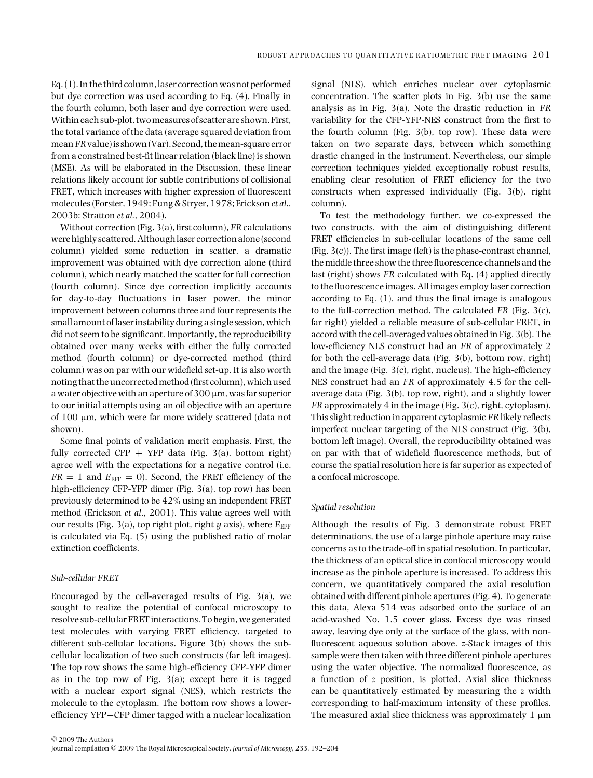$Eq. (1)$ . In the third column, laser correction was not performed but dye correction was used according to Eq. (4). Finally in the fourth column, both laser and dye correction were used. Within each sub-plot, twomeasures of scatter are shown. First, the total variance of the data (average squared deviation from mean*FR*value)is shown (Var). Second, themean-square error from a constrained best-fit linear relation (black line) is shown (MSE). As will be elaborated in the Discussion, these linear relations likely account for subtle contributions of collisional FRET, which increases with higher expression of fluorescent molecules (Forster, 1949; Fung & Stryer, 1978; Erickson *et al*., 2003b; Stratton *et al.*, 2004).

Without correction (Fig. 3(a), first column), *FR*calculations were highly scattered.Althoughlaser correction alone (second column) yielded some reduction in scatter, a dramatic improvement was obtained with dye correction alone (third column), which nearly matched the scatter for full correction (fourth column). Since dye correction implicitly accounts for day-to-day fluctuations in laser power, the minor improvement between columns three and four represents the small amount of laser instability during a single session, which did not seem to be significant. Importantly, the reproducibility obtained over many weeks with either the fully corrected method (fourth column) or dye-corrected method (third column) was on par with our widefield set-up. It is also worth noting that the uncorrectedmethod (first column), which used a water objective with an aperture of 300 μm, was far superior to our initial attempts using an oil objective with an aperture of 100 μm, which were far more widely scattered (data not shown).

Some final points of validation merit emphasis. First, the fully corrected CFP + YFP data (Fig. 3(a), bottom right) agree well with the expectations for a negative control (i.e.  $FR = 1$  and  $E_{\text{EFF}} = 0$ ). Second, the FRET efficiency of the high-efficiency CFP-YFP dimer (Fig. 3(a), top row) has been previously determined to be 42% using an independent FRET method (Erickson *et al*., 2001). This value agrees well with our results (Fig. 3(a), top right plot, right *y* axis), where  $E_{\text{EFF}}$ is calculated via Eq. (5) using the published ratio of molar extinction coefficients.

## *Sub-cellular FRET*

Encouraged by the cell-averaged results of Fig. 3(a), we sought to realize the potential of confocal microscopy to resolve sub-cellular FRET interactions. To begin, we generated test molecules with varying FRET efficiency, targeted to different sub-cellular locations. Figure 3(b) shows the subcellular localization of two such constructs (far left images). The top row shows the same high-efficiency CFP-YFP dimer as in the top row of Fig.  $3(a)$ ; except here it is tagged with a nuclear export signal (NES), which restricts the molecule to the cytoplasm. The bottom row shows a lowerefficiency YFP−CFP dimer tagged with a nuclear localization

signal (NLS), which enriches nuclear over cytoplasmic concentration. The scatter plots in Fig. 3(b) use the same analysis as in Fig. 3(a). Note the drastic reduction in *FR* variability for the CFP-YFP-NES construct from the first to the fourth column (Fig. 3(b), top row). These data were taken on two separate days, between which something drastic changed in the instrument. Nevertheless, our simple correction techniques yielded exceptionally robust results, enabling clear resolution of FRET efficiency for the two constructs when expressed individually (Fig. 3(b), right column).

To test the methodology further, we co-expressed the two constructs, with the aim of distinguishing different FRET efficiencies in sub-cellular locations of the same cell (Fig.  $3(c)$ ). The first image (left) is the phase-contrast channel, the middle three show the three fluorescence channels and the last (right) shows *FR* calculated with Eq. (4) applied directly to the fluorescence images. All images employ laser correction according to Eq. (1), and thus the final image is analogous to the full-correction method. The calculated *FR* (Fig. 3(c), far right) yielded a reliable measure of sub-cellular FRET, in accord with the cell-averaged values obtained in Fig. 3(b). The low-efficiency NLS construct had an *FR* of approximately 2 for both the cell-average data (Fig. 3(b), bottom row, right) and the image (Fig.  $3(c)$ , right, nucleus). The high-efficiency NES construct had an *FR* of approximately 4.5 for the cellaverage data (Fig. 3(b), top row, right), and a slightly lower *FR* approximately 4 in the image (Fig. 3(c), right, cytoplasm). This slight reduction in apparent cytoplasmic *FR*likely reflects imperfect nuclear targeting of the NLS construct (Fig. 3(b), bottom left image). Overall, the reproducibility obtained was on par with that of widefield fluorescence methods, but of course the spatial resolution here is far superior as expected of a confocal microscope.

## *Spatial resolution*

Although the results of Fig. 3 demonstrate robust FRET determinations, the use of a large pinhole aperture may raise concerns as to the trade-off in spatial resolution. In particular, the thickness of an optical slice in confocal microscopy would increase as the pinhole aperture is increased. To address this concern, we quantitatively compared the axial resolution obtained with different pinhole apertures (Fig. 4). To generate this data, Alexa 514 was adsorbed onto the surface of an acid-washed No. 1.5 cover glass. Excess dye was rinsed away, leaving dye only at the surface of the glass, with nonfluorescent aqueous solution above. *z*-Stack images of this sample were then taken with three different pinhole apertures using the water objective. The normalized fluorescence, as a function of *z* position, is plotted. Axial slice thickness can be quantitatively estimated by measuring the *z* width corresponding to half-maximum intensity of these profiles. The measured axial slice thickness was approximately 1  $\mu$ m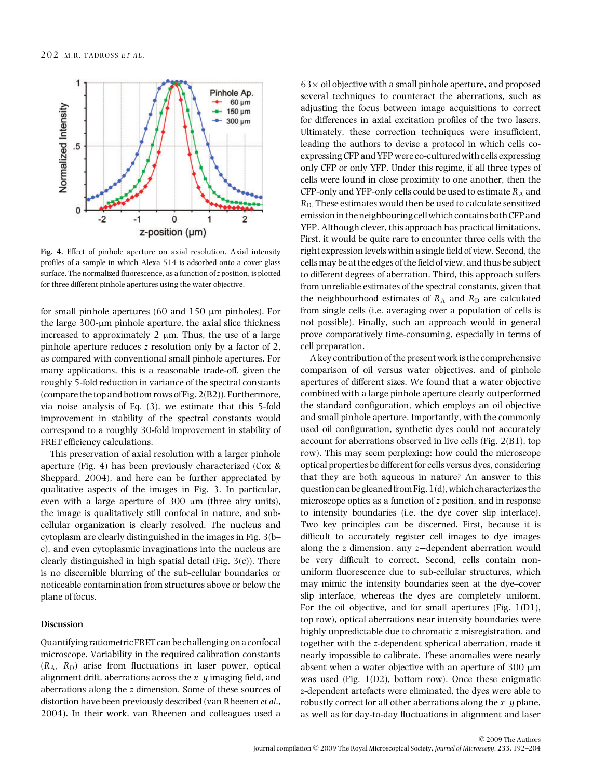

**Fig. 4.** Effect of pinhole aperture on axial resolution. Axial intensity profiles of a sample in which Alexa 514 is adsorbed onto a cover glass surface. The normalized fluorescence, as a function of*z* position, is plotted for three different pinhole apertures using the water objective.

for small pinhole apertures (60 and 150  $\mu$ m pinholes). For the large  $300$ -μm pinhole aperture, the axial slice thickness increased to approximately 2  $\mu$ m. Thus, the use of a large pinhole aperture reduces *z* resolution only by a factor of 2, as compared with conventional small pinhole apertures. For many applications, this is a reasonable trade-off, given the roughly 5-fold reduction in variance of the spectral constants (compare the top and bottom rows of Fig. 2(B2)). Furthermore, via noise analysis of Eq. (3), we estimate that this 5-fold improvement in stability of the spectral constants would correspond to a roughly 30-fold improvement in stability of FRET efficiency calculations.

This preservation of axial resolution with a larger pinhole aperture (Fig. 4) has been previously characterized (Cox & Sheppard, 2004), and here can be further appreciated by qualitative aspects of the images in Fig. 3. In particular, even with a large aperture of  $300 \mu m$  (three airy units), the image is qualitatively still confocal in nature, and subcellular organization is clearly resolved. The nucleus and cytoplasm are clearly distinguished in the images in Fig. 3(b– c), and even cytoplasmic invaginations into the nucleus are clearly distinguished in high spatial detail (Fig.  $3(c)$ ). There is no discernible blurring of the sub-cellular boundaries or noticeable contamination from structures above or below the plane of focus.

### **Discussion**

Quantifying ratiometric FRET can be challenging on a confocal microscope. Variability in the required calibration constants  $(R_A, R_D)$  arise from fluctuations in laser power, optical alignment drift, aberrations across the *x*–*y* imaging field, and aberrations along the *z* dimension. Some of these sources of distortion have been previously described (van Rheenen *et al*., 2004). In their work, van Rheenen and colleagues used a

 $63\times$  oil objective with a small pinhole aperture, and proposed several techniques to counteract the aberrations, such as adjusting the focus between image acquisitions to correct for differences in axial excitation profiles of the two lasers. Ultimately, these correction techniques were insufficient, leading the authors to devise a protocol in which cells coexpressing CFP andYFP were co-cultured with cells expressing only CFP or only YFP. Under this regime, if all three types of cells were found in close proximity to one another, then the CFP-only and YFP-only cells could be used to estimate  $R_A$  and  $R<sub>D</sub>$ . These estimates would then be used to calculate sensitized emissionin theneighbouring cellwhich contains bothCFP and YFP. Although clever, this approach has practical limitations. First, it would be quite rare to encounter three cells with the right expression levels within a single field of view. Second, the cells may be at the edges of the field of view, and thus be subject to different degrees of aberration. Third, this approach suffers from unreliable estimates of the spectral constants, given that the neighbourhood estimates of  $R_A$  and  $R_D$  are calculated from single cells (i.e. averaging over a population of cells is not possible). Finally, such an approach would in general prove comparatively time-consuming, especially in terms of cell preparation.

A key contribution of the present work is the comprehensive comparison of oil versus water objectives, and of pinhole apertures of different sizes. We found that a water objective combined with a large pinhole aperture clearly outperformed the standard configuration, which employs an oil objective and small pinhole aperture. Importantly, with the commonly used oil configuration, synthetic dyes could not accurately account for aberrations observed in live cells (Fig. 2(B1), top row). This may seem perplexing: how could the microscope optical properties be different for cells versus dyes, considering that they are both aqueous in nature? An answer to this question can be gleaned from Fig.  $1(d)$ , which characterizes the microscope optics as a function of *z* position, and in response to intensity boundaries (i.e. the dye–cover slip interface). Two key principles can be discerned. First, because it is difficult to accurately register cell images to dye images along the *z* dimension, any *z*−dependent aberration would be very difficult to correct. Second, cells contain nonuniform fluorescence due to sub-cellular structures, which may mimic the intensity boundaries seen at the dye–cover slip interface, whereas the dyes are completely uniform. For the oil objective, and for small apertures (Fig. 1(D1), top row), optical aberrations near intensity boundaries were highly unpredictable due to chromatic *z* misregistration, and together with the *z*-dependent spherical aberration, made it nearly impossible to calibrate. These anomalies were nearly absent when a water objective with an aperture of 300 μm was used (Fig. 1(D2), bottom row). Once these enigmatic *z*-dependent artefacts were eliminated, the dyes were able to robustly correct for all other aberrations along the *x*–*y* plane, as well as for day-to-day fluctuations in alignment and laser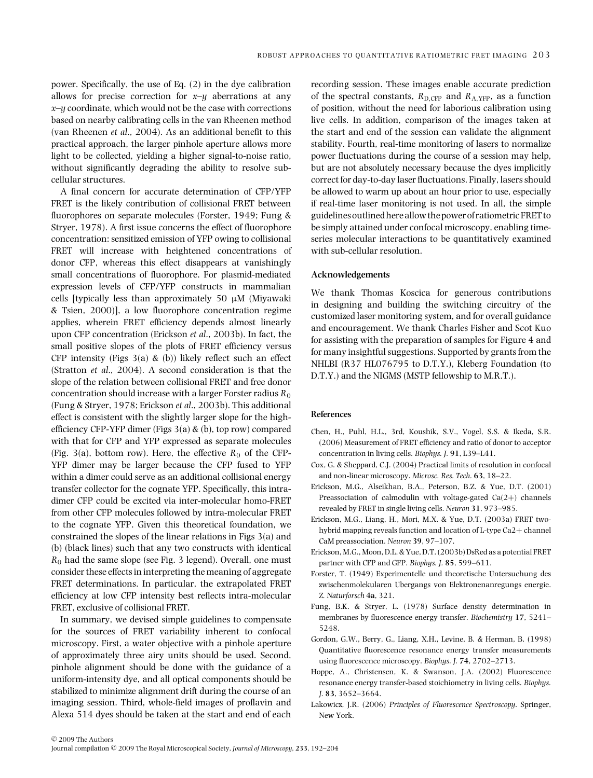power. Specifically, the use of Eq. (2) in the dye calibration allows for precise correction for *x*–*y* aberrations at any *x*–*y* coordinate, which would not be the case with corrections based on nearby calibrating cells in the van Rheenen method (van Rheenen *et al*., 2004). As an additional benefit to this practical approach, the larger pinhole aperture allows more light to be collected, yielding a higher signal-to-noise ratio, without significantly degrading the ability to resolve subcellular structures.

A final concern for accurate determination of CFP/YFP FRET is the likely contribution of collisional FRET between fluorophores on separate molecules (Forster, 1949; Fung & Stryer, 1978). A first issue concerns the effect of fluorophore concentration: sensitized emission of YFP owing to collisional FRET will increase with heightened concentrations of donor CFP, whereas this effect disappears at vanishingly small concentrations of fluorophore. For plasmid-mediated expression levels of CFP/YFP constructs in mammalian cells [typically less than approximately 50  $\mu$ M (Miyawaki & Tsien, 2000)], a low fluorophore concentration regime applies, wherein FRET efficiency depends almost linearly upon CFP concentration (Erickson *et al*., 2003b). In fact, the small positive slopes of the plots of FRET efficiency versus CFP intensity (Figs  $3(a)$  & (b)) likely reflect such an effect (Stratton *et al*., 2004). A second consideration is that the slope of the relation between collisional FRET and free donor concentration should increase with a larger Forster radius  $R_0$ (Fung & Stryer, 1978; Erickson *et al*., 2003b). This additional effect is consistent with the slightly larger slope for the highefficiency CFP-YFP dimer (Figs 3(a) & (b), top row) compared with that for CFP and YFP expressed as separate molecules (Fig. 3(a), bottom row). Here, the effective  $R_0$  of the CFP-YFP dimer may be larger because the CFP fused to YFP within a dimer could serve as an additional collisional energy transfer collector for the cognate YFP. Specifically, this intradimer CFP could be excited via inter-molecular homo-FRET from other CFP molecules followed by intra-molecular FRET to the cognate YFP. Given this theoretical foundation, we constrained the slopes of the linear relations in Figs 3(a) and (b) (black lines) such that any two constructs with identical *R*<sup>0</sup> had the same slope (see Fig. 3 legend). Overall, one must consider these effects in interpreting the meaning of aggregate FRET determinations. In particular, the extrapolated FRET efficiency at low CFP intensity best reflects intra-molecular FRET, exclusive of collisional FRET.

In summary, we devised simple guidelines to compensate for the sources of FRET variability inherent to confocal microscopy. First, a water objective with a pinhole aperture of approximately three airy units should be used. Second, pinhole alignment should be done with the guidance of a uniform-intensity dye, and all optical components should be stabilized to minimize alignment drift during the course of an imaging session. Third, whole-field images of proflavin and Alexa 514 dyes should be taken at the start and end of each

recording session. These images enable accurate prediction of the spectral constants,  $R_{D,\text{CFP}}$  and  $R_{A,\text{YFP}}$ , as a function of position, without the need for laborious calibration using live cells. In addition, comparison of the images taken at the start and end of the session can validate the alignment stability. Fourth, real-time monitoring of lasers to normalize power fluctuations during the course of a session may help, but are not absolutely necessary because the dyes implicitly correct for day-to-day laser fluctuations. Finally, lasers should be allowed to warm up about an hour prior to use, especially if real-time laser monitoring is not used. In all, the simple guidelines outlined here allow the power of ratiometric FRET to be simply attained under confocal microscopy, enabling timeseries molecular interactions to be quantitatively examined with sub-cellular resolution.

# **Acknowledgements**

We thank Thomas Koscica for generous contributions in designing and building the switching circuitry of the customized laser monitoring system, and for overall guidance and encouragement. We thank Charles Fisher and Scot Kuo for assisting with the preparation of samples for Figure 4 and for many insightful suggestions. Supported by grants from the NHLBI (R37 HL076795 to D.T.Y.), Kleberg Foundation (to D.T.Y.) and the NIGMS (MSTP fellowship to M.R.T.).

### **References**

- Chen, H., Puhl, H.L., 3rd, Koushik, S.V., Vogel, S.S. & Ikeda, S.R. (2006) Measurement of FRET efficiency and ratio of donor to acceptor concentration in living cells. *Biophys. J.* **91**, L39–L41.
- Cox, G. & Sheppard, C.J. (2004) Practical limits of resolution in confocal and non-linear microscopy. *Microsc. Res. Tech.* **63**, 18–22.
- Erickson, M.G., Alseikhan, B.A., Peterson, B.Z. & Yue, D.T. (2001) Preassociation of calmodulin with voltage-gated Ca(2+) channels revealed by FRET in single living cells. *Neuron* **31**, 973–985.
- Erickson, M.G., Liang, H., Mori, M.X. & Yue, D.T. (2003a) FRET twohybrid mapping reveals function and location of L-type Ca2+ channel CaM preassociation. *Neuron* **39**, 97–107.
- Erickson, M.G., Moon, D.L. & Yue, D.T. (2003b) DsRed as a potential FRET partner with CFP and GFP. *Biophys. J.* **85**, 599–611.
- Forster, T. (1949) Experimentelle und theoretische Untersuchung des zwischenmolekularen Ubergangs von Elektronenanregungs energie. *Z. Naturforsch* **4a**, 321.
- Fung, B.K. & Stryer, L. (1978) Surface density determination in membranes by fluorescence energy transfer. *Biochemistry* **17**, 5241– 5248.
- Gordon, G.W., Berry, G., Liang, X.H., Levine, B. & Herman, B. (1998) Quantitative fluorescence resonance energy transfer measurements using fluorescence microscopy. *Biophys. J.* **74**, 2702–2713.
- Hoppe, A., Christensen, K. & Swanson, J.A. (2002) Fluorescence resonance energy transfer-based stoichiometry in living cells. *Biophys. J.* **83**, 3652–3664.
- Lakowicz, J.R. (2006) *Principles of Fluorescence Spectroscopy*. Springer, New York.